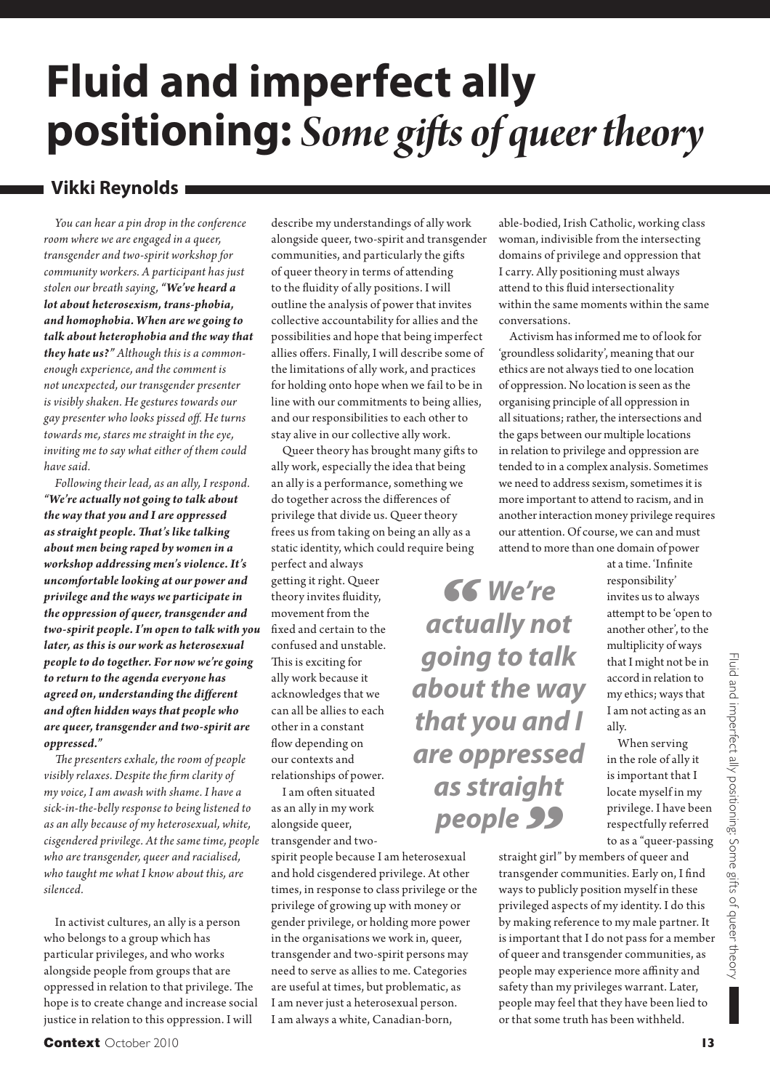# **Fluid and imperfect ally positioning:** *Some gift s of queer theory*

### **Vikki Reynolds**

*You can hear a pin drop in the conference room where we are engaged in a queer, transgender and two-spirit workshop for community workers. A participant has just stolen our breath saying, "We've heard a lot about heterosexism, trans-phobia, and homophobia. When are we going to talk about heterophobia and the way that they hate us?" Although this is a commonenough experience, and the comment is not unexpected, our transgender presenter is visibly shaken. He gestures towards our gay presenter who looks pissed off . He turns towards me, stares me straight in the eye, inviting me to say what either of them could have said.* 

*Following their lead, as an ally, I respond. "We're actually not going to talk about the way that you and I are oppressed as straight people. Th at's like talking about men being raped by women in a workshop addressing men's violence. It's uncomfortable looking at our power and privilege and the ways we participate in the oppression of queer, transgender and two-spirit people. I'm open to talk with you later, as this is our work as heterosexual people to do together. For now we're going to return to the agenda everyone has agreed on, understanding the diff erent and oft en hidden ways that people who are queer, transgender and two-spirit are oppressed."*

*The presenters exhale, the room of people visibly relaxes. Despite the firm clarity of my voice, I am awash with shame. I have a sick-in-the-belly response to being listened to as an ally because of my heterosexual, white, cisgendered privilege. At the same time, people who are transgender, queer and racialised, who taught me what I know about this, are silenced.* 

In activist cultures, an ally is a person who belongs to a group which has particular privileges, and who works alongside people from groups that are oppressed in relation to that privilege. The hope is to create change and increase social justice in relation to this oppression. I will

describe my understandings of ally work alongside queer, two-spirit and transgender communities, and particularly the gifts of queer theory in terms of attending to the fluidity of ally positions. I will outline the analysis of power that invites collective accountability for allies and the possibilities and hope that being imperfect allies offers. Finally, I will describe some of the limitations of ally work, and practices for holding onto hope when we fail to be in line with our commitments to being allies, and our responsibilities to each other to stay alive in our collective ally work.

Queer theory has brought many gifts to ally work, especially the idea that being an ally is a performance, something we do together across the differences of privilege that divide us. Queer theory frees us from taking on being an ally as a static identity, which could require being

perfect and always getting it right. Queer theory invites fluidity, movement from the fixed and certain to the confused and unstable. This is exciting for ally work because it acknowledges that we can all be allies to each other in a constant flow depending on our contexts and relationships of power.

I am often situated as an ally in my work alongside queer, transgender and two-

spirit people because I am heterosexual and hold cisgendered privilege. At other times, in response to class privilege or the privilege of growing up with money or gender privilege, or holding more power in the organisations we work in, queer, transgender and two-spirit persons may need to serve as allies to me. Categories are useful at times, but problematic, as I am never just a heterosexual person. I am always a white, Canadian-born,

able-bodied, Irish Catholic, working class woman, indivisible from the intersecting domains of privilege and oppression that I carry. Ally positioning must always attend to this fluid intersectionality within the same moments within the same conversations.

Activism has informed me to of look for 'groundless solidarity', meaning that our ethics are not always tied to one location of oppression. No location is seen as the organising principle of all oppression in all situations; rather, the intersections and the gaps between our multiple locations in relation to privilege and oppression are tended to in a complex analysis. Sometimes we need to address sexism, sometimes it is more important to attend to racism, and in another interaction money privilege requires our attention. Of course, we can and must attend to more than one domain of power

*" We're actually not going to talk about the way that you and I are oppressed as straight*  people **39** 

> straight girl" by members of queer and transgender communities. Early on, I find ways to publicly position myself in these privileged aspects of my identity. I do this by making reference to my male partner. It is important that I do not pass for a member of queer and transgender communities, as people may experience more affinity and safety than my privileges warrant. Later, people may feel that they have been lied to or that some truth has been withheld.

at a time. 'Infinite responsibility' invites us to always attempt to be 'open to another other', to the multiplicity of ways that I might not be in accord in relation to my ethics; ways that I am not acting as an ally.

When serving in the role of ally it is important that I locate myself in my privilege. I have been respectfully referred to as a "queer-passing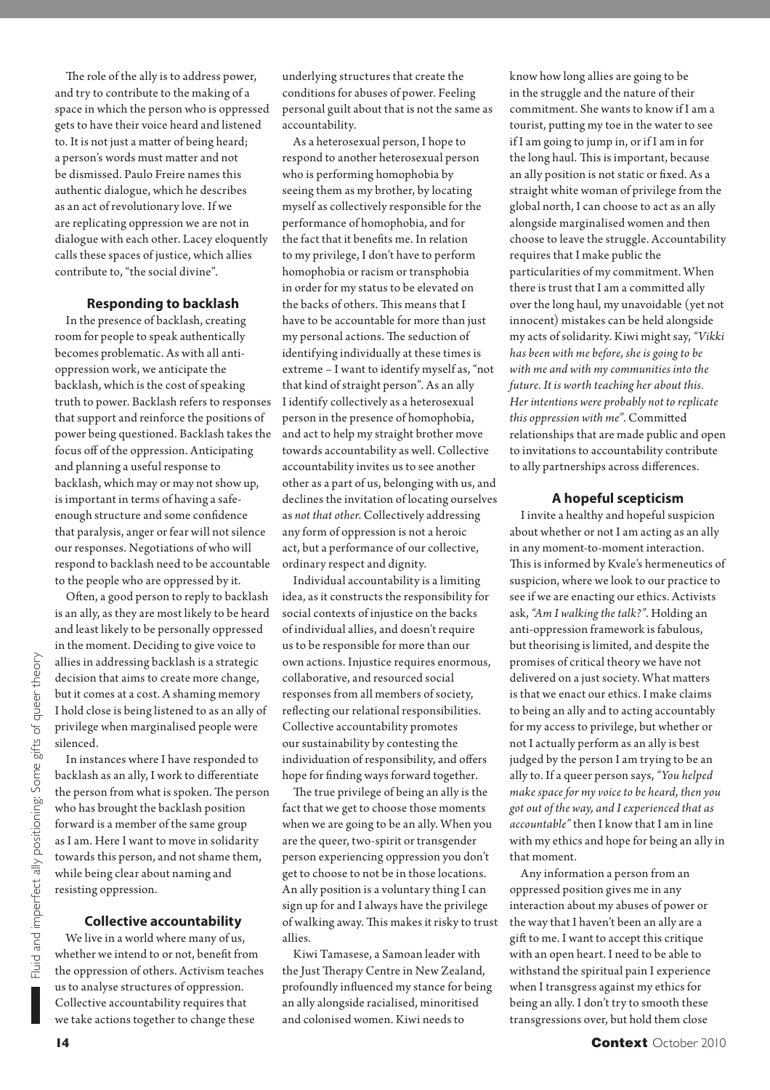The role of the ally is to address power, and try to contribute to the making of a space in which the person who is oppressed gets to have their voice heard and listened to. It is not just a matter of being heard; a person's words must matter and not be dismissed. Paulo Freire names this authentic dialogue, which he describes as an act of revolutionary love. If we are replicating oppression we are not in dialogue with each other. Lacey eloquently calls these spaces of justice, which allies contribute to, "the social divine".

#### **Responding to backlash**

In the presence of backlash, creating room for people to speak authentically becomes problematic. As with all antioppression work, we anticipate the backlash, which is the cost of speaking truth to power. Backlash refers to responses that support and reinforce the positions of power being questioned. Backlash takes the focus off of the oppression. Anticipating and planning a useful response to backlash, which may or may not show up, is important in terms of having a safeenough structure and some confidence that paralysis, anger or fear will not silence our responses. Negotiations of who will respond to backlash need to be accountable to the people who are oppressed by it.

Often, a good person to reply to backlash is an ally, as they are most likely to be heard and least likely to be personally oppressed in the moment. Deciding to give voice to allies in addressing backlash is a strategic decision that aims to create more change, but it comes at a cost. A shaming memory I hold close is being listened to as an ally of privilege when marginalised people were silenced.

In instances where I have responded to backlash as an ally, I work to differentiate the person from what is spoken. The person who has brought the backlash position forward is a member of the same group as I am. Here I want to move in solidarity towards this person, and not shame them, while being clear about naming and resisting oppression.

#### **Collective accountability**

We live in a world where many of us, whether we intend to or not, benefit from the oppression of others. Activism teaches us to analyse structures of oppression. Collective accountability requires that we take actions together to change these

underlying structures that create the conditions for abuses of power. Feeling personal guilt about that is not the same as accountability.

As a heterosexual person, I hope to respond to another heterosexual person who is performing homophobia by seeing them as my brother, by locating myself as collectively responsible for the performance of homophobia, and for the fact that it benefits me. In relation to my privilege, I don't have to perform homophobia or racism or transphobia in order for my status to be elevated on the backs of others. This means that I have to be accountable for more than just my personal actions. The seduction of identifying individually at these times is extreme *–* I want to identify myself as, "not that kind of straight person". As an ally I identify collectively as a heterosexual person in the presence of homophobia, and act to help my straight brother move towards accountability as well. Collective accountability invites us to see another other as a part of us, belonging with us, and declines the invitation of locating ourselves as *not that other*. Collectively addressing any form of oppression is not a heroic act, but a performance of our collective, ordinary respect and dignity.

Individual accountability is a limiting idea, as it constructs the responsibility for social contexts of injustice on the backs of individual allies, and doesn't require us to be responsible for more than our own actions. Injustice requires enormous, collaborative, and resourced social responses from all members of society, reflecting our relational responsibilities. Collective accountability promotes our sustainability by contesting the individuation of responsibility, and offers hope for finding ways forward together.

The true privilege of being an ally is the fact that we get to choose those moments when we are going to be an ally. When you are the queer, two-spirit or transgender person experiencing oppression you don't get to choose to not be in those locations. An ally position is a voluntary thing I can sign up for and I always have the privilege of walking away. This makes it risky to trust allies.

Kiwi Tamasese, a Samoan leader with the Just Therapy Centre in New Zealand, profoundly influenced my stance for being an ally alongside racialised, minoritised and colonised women. Kiwi needs to

know how long allies are going to be in the struggle and the nature of their commitment. She wants to know if I am a tourist, putting my toe in the water to see if I am going to jump in, or if I am in for the long haul. This is important, because an ally position is not static or fixed. As a straight white woman of privilege from the global north, I can choose to act as an ally alongside marginalised women and then choose to leave the struggle. Accountability requires that I make public the particularities of my commitment. When there is trust that I am a committed ally over the long haul, my unavoidable (yet not innocent) mistakes can be held alongside my acts of solidarity. Kiwi might say, *"Vikki has been with me before, she is going to be with me and with my communities into the future. It is worth teaching her about this. Her intentions were probably not to replicate*  this oppression with me". Committed relationships that are made public and open to invitations to accountability contribute to ally partnerships across differences.

#### **A hopeful scepticism**

I invite a healthy and hopeful suspicion about whether or not I am acting as an ally in any moment-to-moment interaction. This is informed by Kyale's hermeneutics of suspicion, where we look to our practice to see if we are enacting our ethics. Activists ask, *"Am I walking the talk?"*. Holding an anti-oppression framework is fabulous, but theorising is limited, and despite the promises of critical theory we have not delivered on a just society. What matters is that we enact our ethics. I make claims to being an ally and to acting accountably for my access to privilege, but whether or not I actually perform as an ally is best judged by the person I am trying to be an ally to. If a queer person says, *"You helped make space for my voice to be heard, then you got out of the way, and I experienced that as accountable"* then I know that I am in line with my ethics and hope for being an ally in that moment.

Any information a person from an oppressed position gives me in any interaction about my abuses of power or the way that I haven't been an ally are a gift to me. I want to accept this critique with an open heart. I need to be able to withstand the spiritual pain I experience when I transgress against my ethics for being an ally. I don't try to smooth these transgressions over, but hold them close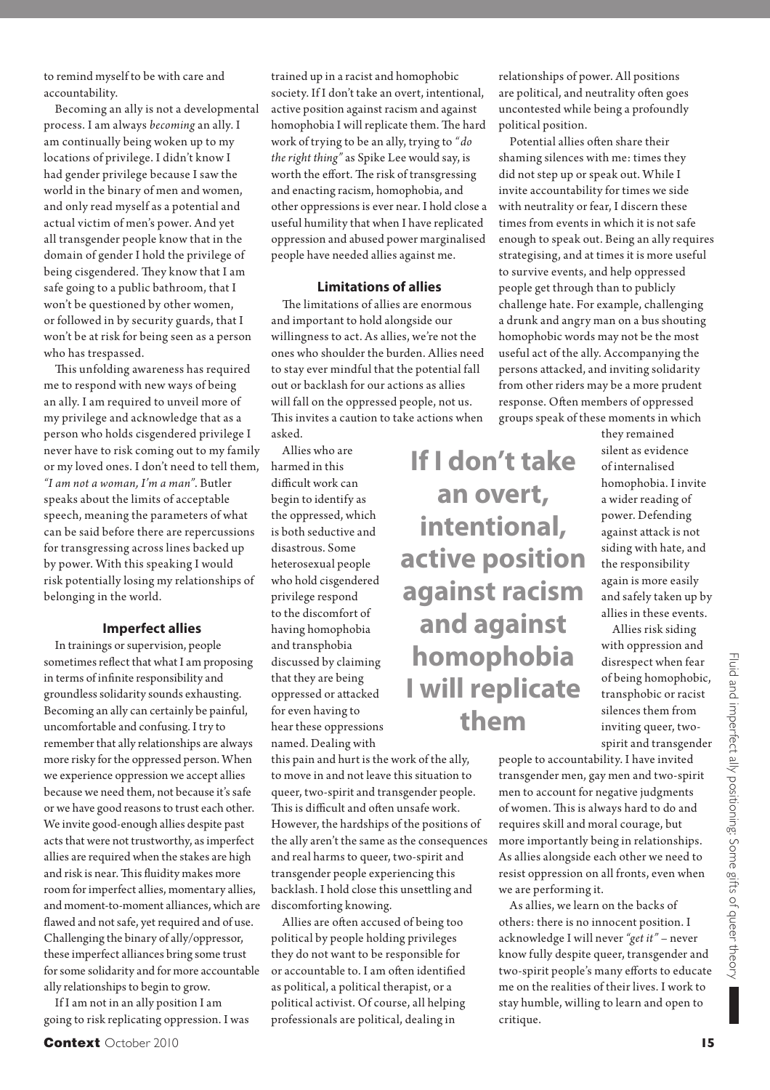to remind myself to be with care and accountability.

Becoming an ally is not a developmental process. I am always *becoming* an ally. I am continually being woken up to my locations of privilege. I didn't know I had gender privilege because I saw the world in the binary of men and women, and only read myself as a potential and actual victim of men's power. And yet all transgender people know that in the domain of gender I hold the privilege of being cisgendered. They know that I am safe going to a public bathroom, that I won't be questioned by other women, or followed in by security guards, that I won't be at risk for being seen as a person who has trespassed.

This unfolding awareness has required me to respond with new ways of being an ally. I am required to unveil more of my privilege and acknowledge that as a person who holds cisgendered privilege I never have to risk coming out to my family or my loved ones. I don't need to tell them, *"I am not a woman, I'm a man"*. Butler speaks about the limits of acceptable speech, meaning the parameters of what can be said before there are repercussions for transgressing across lines backed up by power. With this speaking I would risk potentially losing my relationships of belonging in the world.

#### **Imperfect allies**

In trainings or supervision, people sometimes reflect that what I am proposing in terms of infinite responsibility and groundless solidarity sounds exhausting. Becoming an ally can certainly be painful, uncomfortable and confusing. I try to remember that ally relationships are always more risky for the oppressed person. When we experience oppression we accept allies because we need them, not because it's safe or we have good reasons to trust each other. We invite good-enough allies despite past acts that were not trustworthy, as imperfect allies are required when the stakes are high and risk is near. This fluidity makes more room for imperfect allies, momentary allies, and moment-to-moment alliances, which are flawed and not safe, yet required and of use. Challenging the binary of ally/oppressor, these imperfect alliances bring some trust for some solidarity and for more accountable ally relationships to begin to grow.

If I am not in an ally position I am going to risk replicating oppression. I was

trained up in a racist and homophobic society. If I don't take an overt, intentional, active position against racism and against homophobia I will replicate them. The hard work of trying to be an ally, trying to *"do the right thing"* as Spike Lee would say, is worth the effort. The risk of transgressing and enacting racism, homophobia, and other oppressions is ever near. I hold close a useful humility that when I have replicated oppression and abused power marginalised people have needed allies against me.

#### **Limitations of allies**

The limitations of allies are enormous and important to hold alongside our willingness to act. As allies, we're not the ones who shoulder the burden. Allies need to stay ever mindful that the potential fall out or backlash for our actions as allies will fall on the oppressed people, not us. This invites a caution to take actions when asked.

Allies who are harmed in this difficult work can begin to identify as the oppressed, which is both seductive and disastrous. Some heterosexual people who hold cisgendered privilege respond to the discomfort of having homophobia and transphobia discussed by claiming that they are being oppressed or attacked for even having to hear these oppressions named. Dealing with

this pain and hurt is the work of the ally, to move in and not leave this situation to queer, two-spirit and transgender people. This is difficult and often unsafe work. However, the hardships of the positions of the ally aren't the same as the consequences and real harms to queer, two-spirit and transgender people experiencing this backlash. I hold close this unsettling and discomforting knowing.

Allies are often accused of being too political by people holding privileges they do not want to be responsible for or accountable to. I am often identified as political, a political therapist, or a political activist. Of course, all helping professionals are political, dealing in

relationships of power. All positions are political, and neutrality often goes uncontested while being a profoundly political position.

Potential allies often share their shaming silences with me: times they did not step up or speak out. While I invite accountability for times we side with neutrality or fear, I discern these times from events in which it is not safe enough to speak out. Being an ally requires strategising, and at times it is more useful to survive events, and help oppressed people get through than to publicly challenge hate. For example, challenging a drunk and angry man on a bus shouting homophobic words may not be the most useful act of the ally. Accompanying the persons attacked, and inviting solidarity from other riders may be a more prudent response. Often members of oppressed groups speak of these moments in which

**If I don't take an overt, intentional, active position against racism and against homophobia I will replicate them**

they remained silent as evidence of internalised homophobia. I invite a wider reading of power. Defending against attack is not siding with hate, and the responsibility again is more easily and safely taken up by allies in these events.

Allies risk siding with oppression and disrespect when fear of being homophobic, transphobic or racist silences them from inviting queer, twospirit and transgender

people to accountability. I have invited transgender men, gay men and two-spirit men to account for negative judgments of women. This is always hard to do and requires skill and moral courage, but more importantly being in relationships. As allies alongside each other we need to resist oppression on all fronts, even when we are performing it.

As allies, we learn on the backs of others: there is no innocent position. I acknowledge I will never *"get it"* – never know fully despite queer, transgender and two-spirit people's many efforts to educate me on the realities of their lives. I work to stay humble, willing to learn and open to critique.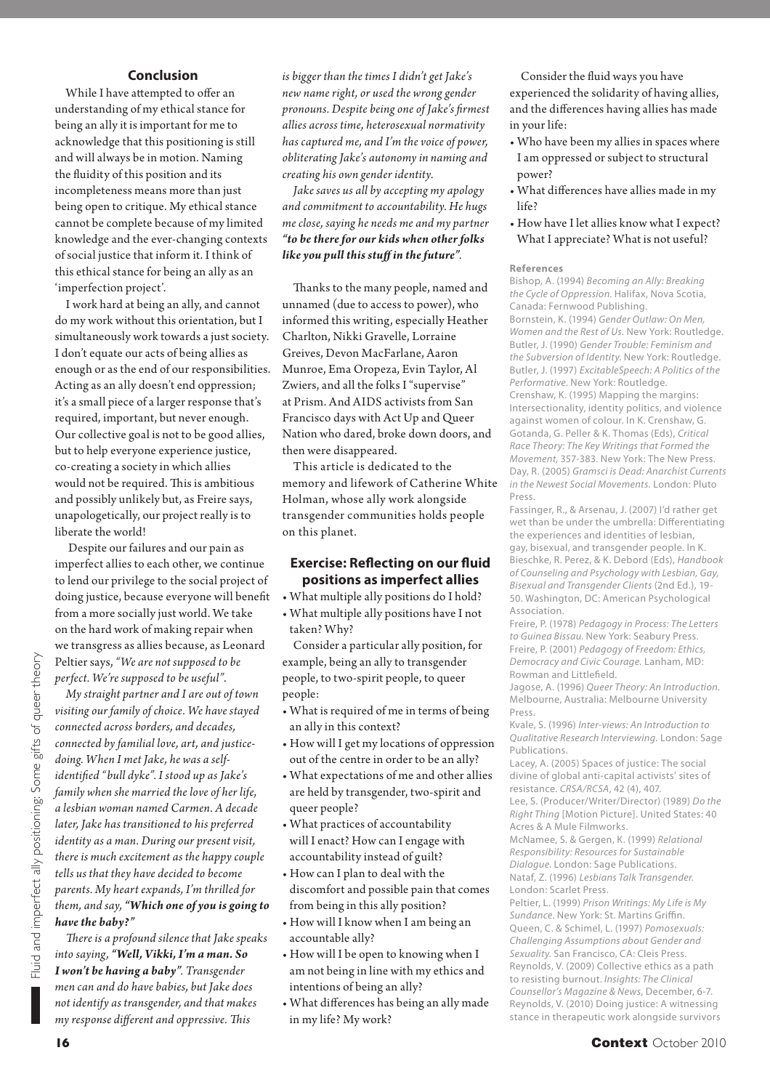#### **Conclusion**

While I have attempted to offer an understanding of my ethical stance for being an ally it is important for me to acknowledge that this positioning is still and will always be in motion. Naming the fluidity of this position and its incompleteness means more than just being open to critique. My ethical stance cannot be complete because of my limited knowledge and the ever-changing contexts of social justice that inform it. I think of this ethical stance for being an ally as an 'imperfection project'.

I work hard at being an ally, and cannot do my work without this orientation, but I simultaneously work towards a just society. I don't equate our acts of being allies as enough or as the end of our responsibilities. Acting as an ally doesn't end oppression; it's a small piece of a larger response that's required, important, but never enough. Our collective goal is not to be good allies, but to help everyone experience justice, co-creating a society in which allies would not be required. This is ambitious and possibly unlikely but, as Freire says, unapologetically, our project really is to liberate the world!

 Despite our failures and our pain as imperfect allies to each other, we continue to lend our privilege to the social project of doing justice, because everyone will benefit from a more socially just world. We take on the hard work of making repair when we transgress as allies because, as Leonard Peltier says, *"We are not supposed to be perfect. We're supposed to be useful"*.

*My straight partner and I are out of town visiting our family of choice. We have stayed connected across borders, and decades, connected by familial love, art, and justicedoing. When I met Jake, he was a self*identified "bull dyke". I stood up as Jake's *family when she married the love of her life, a lesbian woman named Carmen. A decade later, Jake has transitioned to his preferred identity as a man. During our present visit, there is much excitement as the happy couple tells us that they have decided to become parents. My heart expands, I'm thrilled for them, and say, "Which one of you is going to have the baby?"*

*Th ere is a profound silence that Jake speaks into saying, "Well, Vikki, I'm a man. So I won't be having a baby". Transgender men can and do have babies, but Jake does not identify as transgender, and that makes my response different and oppressive. This* 

*is bigger than the times I didn't get Jake's new name right, or used the wrong gender pronouns. Despite being one of Jake's fi rmest allies across time, heterosexual normativity has captured me, and I'm the voice of power, obliterating Jake's autonomy in naming and creating his own gender identity.*

*Jake saves us all by accepting my apology and commitment to accountability. He hugs me close, saying he needs me and my partner "to be there for our kids when other folks like you pull this stuff in the future".* 

Thanks to the many people, named and unnamed (due to access to power), who informed this writing, especially Heather Charlton, Nikki Gravelle, Lorraine Greives, Devon MacFarlane, Aaron Munroe, Ema Oropeza, Evin Taylor, Al Zwiers, and all the folks I "supervise" at Prism. And AIDS activists from San Francisco days with Act Up and Queer Nation who dared, broke down doors, and then were disappeared.

This article is dedicated to the memory and lifework of Catherine White Holman, whose ally work alongside transgender communities holds people on this planet.

#### **Exercise: Reflecting on our fluid positions as imperfect allies**

• What multiple ally positions do I hold? • What multiple ally positions have I not taken? Why?

Consider a particular ally position, for example, being an ally to transgender people, to two-spirit people, to queer people:

- What is required of me in terms of being an ally in this context?
- How will I get my locations of oppression out of the centre in order to be an ally?
- What expectations of me and other allies are held by transgender, two-spirit and queer people?
- What practices of accountability will I enact? How can I engage with accountability instead of guilt?
- How can I plan to deal with the discomfort and possible pain that comes from being in this ally position?
- How will I know when I am being an accountable ally?
- How will I be open to knowing when I am not being in line with my ethics and intentions of being an ally?
- What differences has being an ally made in my life? My work?

Consider the fluid ways you have experienced the solidarity of having allies, and the differences having allies has made in your life:

- Who have been my allies in spaces where I am oppressed or subject to structural power?
- What differences have allies made in my life?
- How have I let allies know what I expect? What I appreciate? What is not useful?

#### **References**

Bishop, A. (1994) Becoming an Ally: Breaking the Cycle of Oppression. Halifax, Nova Scotia, Canada: Fernwood Publishing. Bornstein, K. (1994) Gender Outlaw: On Men, Women and the Rest of Us. New York: Routledge. Butler, J. (1990) Gender Trouble: Feminism and the Subversion of Identity. New York: Routledge. Butler, J. (1997) ExcitableSpeech: A Politics of the Performative. New York: Routledge. Crenshaw, K. (1995) Mapping the margins: Intersectionality, identity politics, and violence against women of colour. In K. Crenshaw, G. Gotanda, G. Peller & K. Thomas (Eds), Critical Race Theory: The Key Writings that Formed the Movement, 357-383. New York: The New Press. Day, R. (2005) Gramsci is Dead: Anarchist Currents in the Newest Social Movements. London: Pluto Press.

Fassinger, R., & Arsenau, J. (2007) I'd rather get wet than be under the umbrella: Differentiating the experiences and identities of leshian gay, bisexual, and transgender people. In K. Bieschke, R. Perez, & K. Debord (Eds), Handbook of Counseling and Psychology with Lesbian, Gay, Bisexual and Transgender Clients (2nd Ed.), 19- 50. Washington, DC: American Psychological Association.

Freire, P. (1978) Pedagogy in Process: The Letters to Guinea Bissau. New York: Seabury Press. Freire, P. (2001) Pedagogy of Freedom: Ethics, Democracy and Civic Courage. Lanham, MD: Rowman and Littlefield.

Jagose, A. (1996) Queer Theory: An Introduction. Melbourne, Australia: Melbourne University Press.

Kvale, S. (1996) Inter-views: An Introduction to Qualitative Research Interviewing. London: Sage Publications.

Lacey, A. (2005) Spaces of justice: The social divine of global anti-capital activists' sites of resistance. CRSA/RCSA, 42 (4), 407.

Lee, S. (Producer/Writer/Director) (1989) Do the Right Thing [Motion Picture]. United States: 40 Acres & A Mule Filmworks.

McNamee, S. & Gergen, K. (1999) Relational Responsibility: Resources for Sustainable Dialogue. London: Sage Publications. Nataf, Z. (1996) Lesbians Talk Transgender. London: Scarlet Press.

Peltier, L. (1999) Prison Writings: My Life is My Sundance. New York: St. Martins Griffin. Queen, C. & Schimel, L. (1997) Pomosexuals: Challenging Assumptions about Gender and Sexuality. San Francisco, CA: Cleis Press. Reynolds, V. (2009) Collective ethics as a path to resisting burnout. Insights: The Clinical Counsellor's Magazine & News, December, 6-7. Reynolds, V. (2010) Doing justice: A witnessing stance in therapeutic work alongside survivors